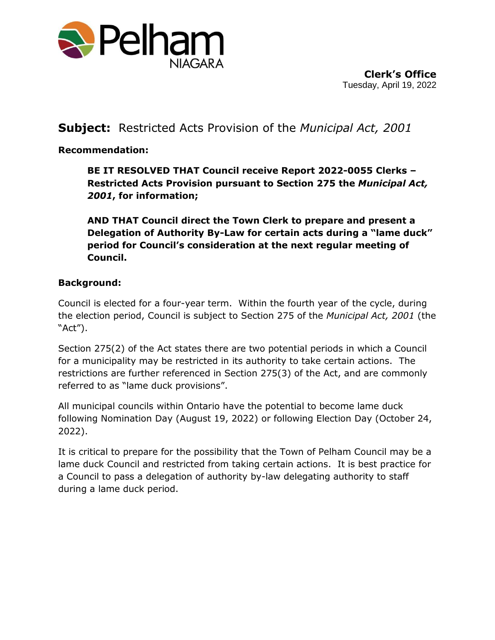

**Clerk's Office** Tuesday, April 19, 2022

# **Subject:** Restricted Acts Provision of the *Municipal Act, 2001*

**Recommendation:**

**BE IT RESOLVED THAT Council receive Report 2022-0055 Clerks – Restricted Acts Provision pursuant to Section 275 the** *Municipal Act, 2001***, for information;** 

**AND THAT Council direct the Town Clerk to prepare and present a Delegation of Authority By-Law for certain acts during a "lame duck" period for Council's consideration at the next regular meeting of Council.**

#### **Background:**

Council is elected for a four-year term. Within the fourth year of the cycle, during the election period, Council is subject to Section 275 of the *Municipal Act, 2001* (the "Act").

Section 275(2) of the Act states there are two potential periods in which a Council for a municipality may be restricted in its authority to take certain actions. The restrictions are further referenced in Section 275(3) of the Act, and are commonly referred to as "lame duck provisions".

All municipal councils within Ontario have the potential to become lame duck following Nomination Day (August 19, 2022) or following Election Day (October 24, 2022).

It is critical to prepare for the possibility that the Town of Pelham Council may be a lame duck Council and restricted from taking certain actions. It is best practice for a Council to pass a delegation of authority by-law delegating authority to staff during a lame duck period.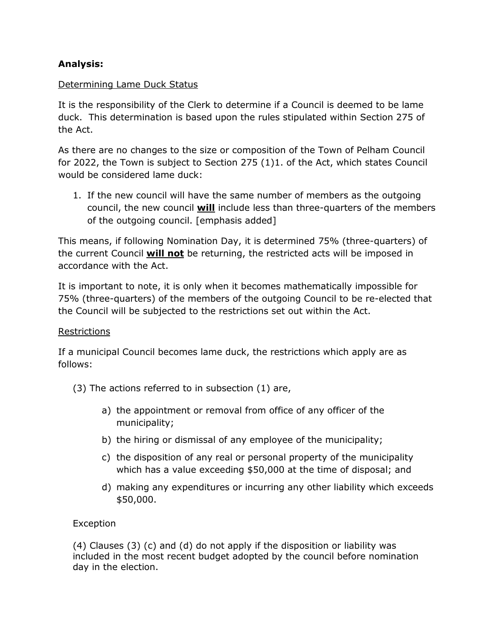#### **Analysis:**

#### Determining Lame Duck Status

It is the responsibility of the Clerk to determine if a Council is deemed to be lame duck. This determination is based upon the rules stipulated within Section 275 of the Act.

As there are no changes to the size or composition of the Town of Pelham Council for 2022, the Town is subject to Section 275 (1)1. of the Act, which states Council would be considered lame duck:

1. If the new council will have the same number of members as the outgoing council, the new council **will** include less than three-quarters of the members of the outgoing council. [emphasis added]

This means, if following Nomination Day, it is determined 75% (three-quarters) of the current Council **will not** be returning, the restricted acts will be imposed in accordance with the Act.

It is important to note, it is only when it becomes mathematically impossible for 75% (three-quarters) of the members of the outgoing Council to be re-elected that the Council will be subjected to the restrictions set out within the Act.

#### Restrictions

If a municipal Council becomes lame duck, the restrictions which apply are as follows:

- (3) The actions referred to in subsection (1) are,
	- a) the appointment or removal from office of any officer of the municipality;
	- b) the hiring or dismissal of any employee of the municipality;
	- c) the disposition of any real or personal property of the municipality which has a value exceeding \$50,000 at the time of disposal; and
	- d) making any expenditures or incurring any other liability which exceeds \$50,000.

#### Exception

(4) Clauses (3) (c) and (d) do not apply if the disposition or liability was included in the most recent budget adopted by the council before nomination day in the election.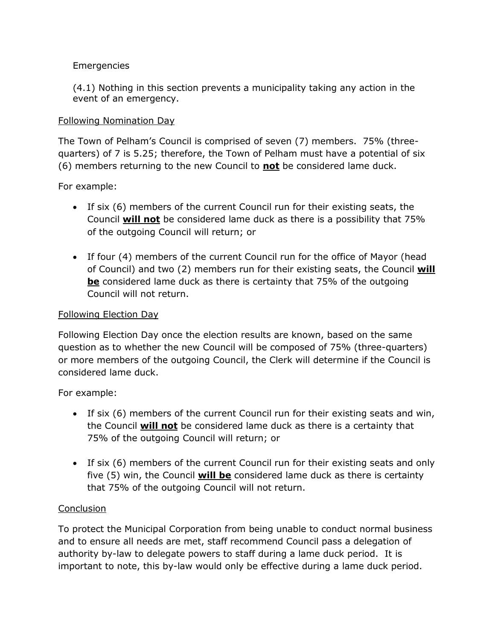## Emergencies

(4.1) Nothing in this section prevents a municipality taking any action in the event of an emergency.

#### Following Nomination Day

The Town of Pelham's Council is comprised of seven (7) members. 75% (threequarters) of 7 is 5.25; therefore, the Town of Pelham must have a potential of six (6) members returning to the new Council to **not** be considered lame duck.

For example:

- If six (6) members of the current Council run for their existing seats, the Council **will not** be considered lame duck as there is a possibility that 75% of the outgoing Council will return; or
- If four (4) members of the current Council run for the office of Mayor (head of Council) and two (2) members run for their existing seats, the Council **will be** considered lame duck as there is certainty that 75% of the outgoing Council will not return.

#### Following Election Day

Following Election Day once the election results are known, based on the same question as to whether the new Council will be composed of 75% (three-quarters) or more members of the outgoing Council, the Clerk will determine if the Council is considered lame duck.

For example:

- If six (6) members of the current Council run for their existing seats and win, the Council **will not** be considered lame duck as there is a certainty that 75% of the outgoing Council will return; or
- If six (6) members of the current Council run for their existing seats and only five (5) win, the Council **will be** considered lame duck as there is certainty that 75% of the outgoing Council will not return.

## **Conclusion**

To protect the Municipal Corporation from being unable to conduct normal business and to ensure all needs are met, staff recommend Council pass a delegation of authority by-law to delegate powers to staff during a lame duck period. It is important to note, this by-law would only be effective during a lame duck period.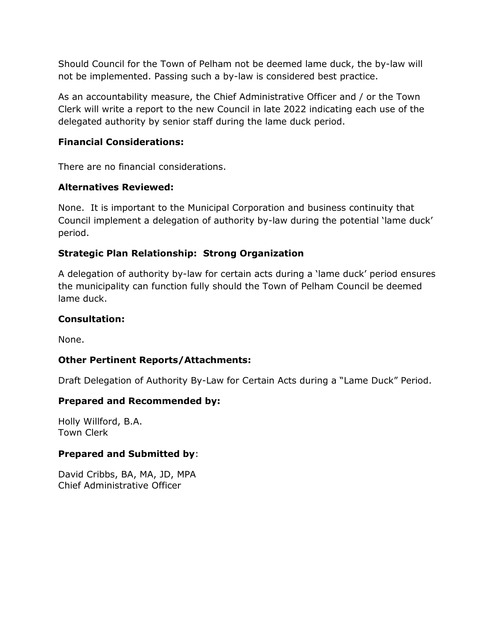Should Council for the Town of Pelham not be deemed lame duck, the by-law will not be implemented. Passing such a by-law is considered best practice.

As an accountability measure, the Chief Administrative Officer and / or the Town Clerk will write a report to the new Council in late 2022 indicating each use of the delegated authority by senior staff during the lame duck period.

## **Financial Considerations:**

There are no financial considerations.

## **Alternatives Reviewed:**

None. It is important to the Municipal Corporation and business continuity that Council implement a delegation of authority by-law during the potential 'lame duck' period.

## **Strategic Plan Relationship: Strong Organization**

A delegation of authority by-law for certain acts during a 'lame duck' period ensures the municipality can function fully should the Town of Pelham Council be deemed lame duck.

## **Consultation:**

None.

## **Other Pertinent Reports/Attachments:**

Draft Delegation of Authority By-Law for Certain Acts during a "Lame Duck" Period.

## **Prepared and Recommended by:**

Holly Willford, B.A. Town Clerk

## **Prepared and Submitted by**:

David Cribbs, BA, MA, JD, MPA Chief Administrative Officer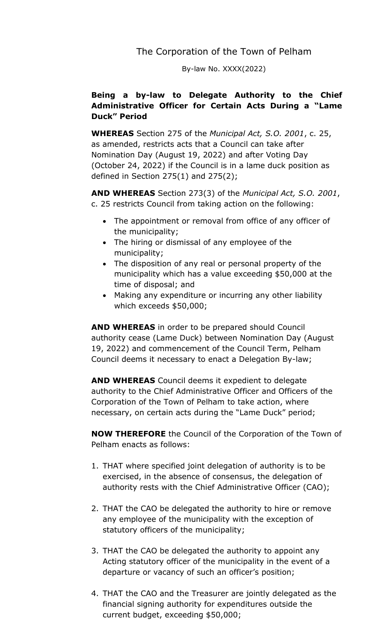The Corporation of the Town of Pelham

By-law No. XXXX(2022)

## **Being a by-law to Delegate Authority to the Chief Administrative Officer for Certain Acts During a "Lame Duck" Period**

**WHEREAS** Section 275 of the *Municipal Act, S.O. 2001*, c. 25, as amended, restricts acts that a Council can take after Nomination Day (August 19, 2022) and after Voting Day (October 24, 2022) if the Council is in a lame duck position as defined in Section  $275(1)$  and  $275(2)$ ;

**AND WHEREAS** Section 273(3) of the *Municipal Act, S.O. 2001*, c. 25 restricts Council from taking action on the following:

- The appointment or removal from office of any officer of the municipality;
- The hiring or dismissal of any employee of the municipality;
- The disposition of any real or personal property of the municipality which has a value exceeding \$50,000 at the time of disposal; and
- Making any expenditure or incurring any other liability which exceeds \$50,000;

**AND WHEREAS** in order to be prepared should Council authority cease (Lame Duck) between Nomination Day (August 19, 2022) and commencement of the Council Term, Pelham Council deems it necessary to enact a Delegation By-law;

**AND WHEREAS** Council deems it expedient to delegate authority to the Chief Administrative Officer and Officers of the Corporation of the Town of Pelham to take action, where necessary, on certain acts during the "Lame Duck" period;

**NOW THEREFORE** the Council of the Corporation of the Town of Pelham enacts as follows:

- 1. THAT where specified joint delegation of authority is to be exercised, in the absence of consensus, the delegation of authority rests with the Chief Administrative Officer (CAO);
- 2. THAT the CAO be delegated the authority to hire or remove any employee of the municipality with the exception of statutory officers of the municipality;
- 3. THAT the CAO be delegated the authority to appoint any Acting statutory officer of the municipality in the event of a departure or vacancy of such an officer's position;
- 4. THAT the CAO and the Treasurer are jointly delegated as the financial signing authority for expenditures outside the current budget, exceeding \$50,000;